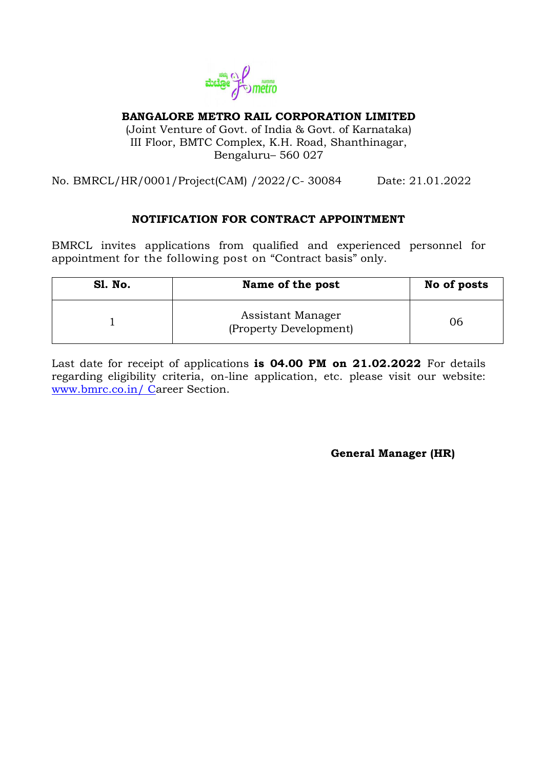

### **BANGALORE METRO RAIL CORPORATION LIMITED**

(Joint Venture of Govt. of India & Govt. of Karnataka) III Floor, BMTC Complex, K.H. Road, Shanthinagar, Bengaluru– 560 027

No. BMRCL/HR/0001/Project(CAM) /2022/C- 30084 Date: 21.01.2022

# **NOTIFICATION FOR CONTRACT APPOINTMENT**

BMRCL invites applications from qualified and experienced personnel for appointment for the following post on "Contract basis" only.

| <b>S1. No.</b> | Name of the post                            |    |  |
|----------------|---------------------------------------------|----|--|
|                | Assistant Manager<br>(Property Development) | 06 |  |

Last date for receipt of applications **is 04.00 PM on 21.02.2022** For details regarding eligibility criteria, on-line application, etc. please visit our website: [www.bmrc.co.in/ Ca](http://www.bmrc.co.in/%20C)reer Section.

 **General Manager (HR)**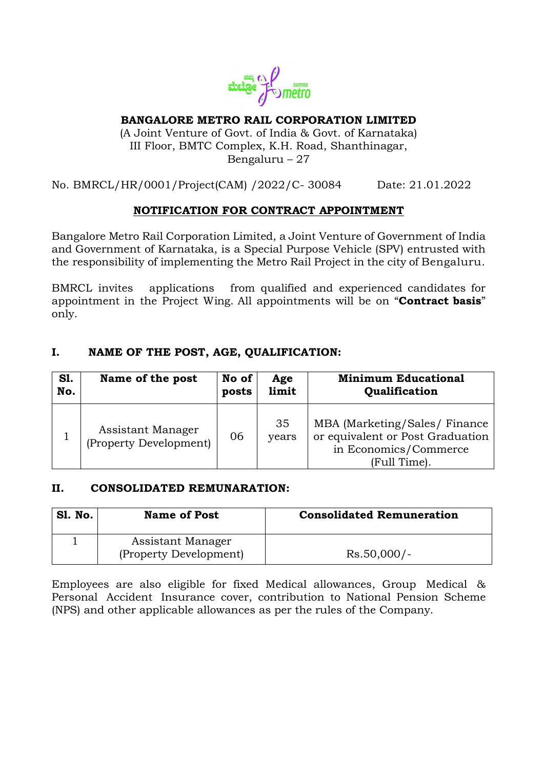

# **BANGALORE METRO RAIL CORPORATION LIMITED**

(A Joint Venture of Govt. of India & Govt. of Karnataka) III Floor, BMTC Complex, K.H. Road, Shanthinagar, Bengaluru – 27

# No. BMRCL/HR/0001/Project(CAM) /2022/C- 30084 Date: 21.01.2022

### **NOTIFICATION FOR CONTRACT APPOINTMENT**

Bangalore Metro Rail Corporation Limited, a Joint Venture of Government of India and Government of Karnataka, is a Special Purpose Vehicle (SPV) entrusted with the responsibility of implementing the Metro Rail Project in the city of Bengaluru.

BMRCL invites applications from qualified and experienced candidates for appointment in the Project Wing. All appointments will be on "**Contract basis**" only.

# **I. NAME OF THE POST, AGE, QUALIFICATION:**

| <b>S1.</b> | Name of the post                            | No of | Age         | <b>Minimum Educational</b>                                                                                 |
|------------|---------------------------------------------|-------|-------------|------------------------------------------------------------------------------------------------------------|
| No.        |                                             | posts | limit       | Qualification                                                                                              |
|            | Assistant Manager<br>(Property Development) | 06    | 35<br>years | MBA (Marketing/Sales/Finance)<br>or equivalent or Post Graduation<br>in Economics/Commerce<br>(Full Time). |

### **II. CONSOLIDATED REMUNARATION:**

| <b>S1. No.</b> | <b>Name of Post</b>                         | <b>Consolidated Remuneration</b> |
|----------------|---------------------------------------------|----------------------------------|
|                | Assistant Manager<br>(Property Development) | $Rs.50,000/-$                    |

Employees are also eligible for fixed Medical allowances, Group Medical & Personal Accident Insurance cover, contribution to National Pension Scheme (NPS) and other applicable allowances as per the rules of the Company.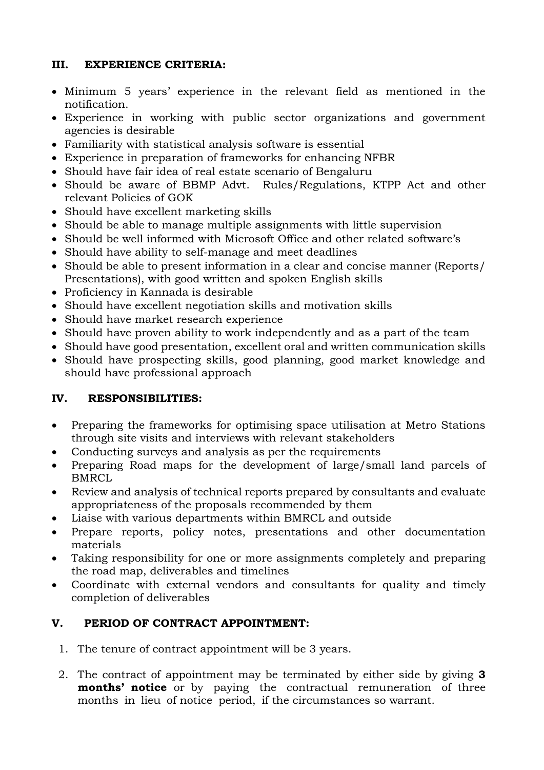# **III. EXPERIENCE CRITERIA:**

- Minimum 5 years' experience in the relevant field as mentioned in the notification.
- Experience in working with public sector organizations and government agencies is desirable
- Familiarity with statistical analysis software is essential
- Experience in preparation of frameworks for enhancing NFBR
- Should have fair idea of real estate scenario of Bengaluru
- Should be aware of BBMP Advt. Rules/Regulations, KTPP Act and other relevant Policies of GOK
- Should have excellent marketing skills
- Should be able to manage multiple assignments with little supervision
- Should be well informed with Microsoft Office and other related software's
- Should have ability to self-manage and meet deadlines
- Should be able to present information in a clear and concise manner (Reports/ Presentations), with good written and spoken English skills
- Proficiency in Kannada is desirable
- Should have excellent negotiation skills and motivation skills
- Should have market research experience
- Should have proven ability to work independently and as a part of the team
- Should have good presentation, excellent oral and written communication skills
- Should have prospecting skills, good planning, good market knowledge and should have professional approach

# **IV. RESPONSIBILITIES:**

- Preparing the frameworks for optimising space utilisation at Metro Stations through site visits and interviews with relevant stakeholders
- Conducting surveys and analysis as per the requirements
- Preparing Road maps for the development of large/small land parcels of BMRCL
- Review and analysis of technical reports prepared by consultants and evaluate appropriateness of the proposals recommended by them
- Liaise with various departments within BMRCL and outside
- Prepare reports, policy notes, presentations and other documentation materials
- Taking responsibility for one or more assignments completely and preparing the road map, deliverables and timelines
- Coordinate with external vendors and consultants for quality and timely completion of deliverables

# **V. PERIOD OF CONTRACT APPOINTMENT:**

- 1. The tenure of contract appointment will be 3 years.
- 2. The contract of appointment may be terminated by either side by giving **3 months' notice** or by paying the contractual remuneration of three months in lieu of notice period, if the circumstances so warrant.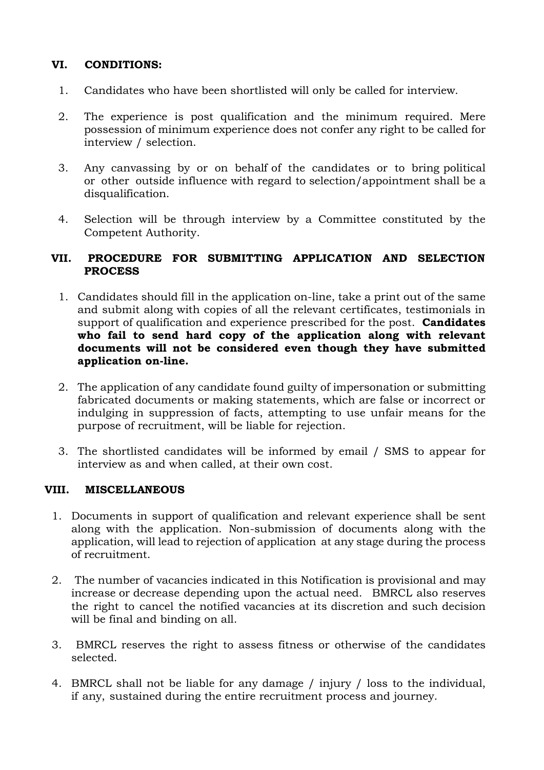# **VI. CONDITIONS:**

- 1. Candidates who have been shortlisted will only be called for interview.
- 2. The experience is post qualification and the minimum required. Mere possession of minimum experience does not confer any right to be called for interview / selection.
- 3. Any canvassing by or on behalf of the candidates or to bring political or other outside influence with regard to selection/appointment shall be a disqualification.
- 4. Selection will be through interview by a Committee constituted by the Competent Authority.

### **VII. PROCEDURE FOR SUBMITTING APPLICATION AND SELECTION PROCESS**

- 1. Candidates should fill in the application on-line, take a print out of the same and submit along with copies of all the relevant certificates, testimonials in support of qualification and experience prescribed for the post. **Candidates who fail to send hard copy of the application along with relevant documents will not be considered even though they have submitted application on-line.**
- 2. The application of any candidate found guilty of impersonation or submitting fabricated documents or making statements, which are false or incorrect or indulging in suppression of facts, attempting to use unfair means for the purpose of recruitment, will be liable for rejection.
- 3. The shortlisted candidates will be informed by email / SMS to appear for interview as and when called, at their own cost.

### **VIII. MISCELLANEOUS**

- 1. Documents in support of qualification and relevant experience shall be sent along with the application. Non-submission of documents along with the application, will lead to rejection of application at any stage during the process of recruitment.
- 2. The number of vacancies indicated in this Notification is provisional and may increase or decrease depending upon the actual need. BMRCL also reserves the right to cancel the notified vacancies at its discretion and such decision will be final and binding on all.
- 3. BMRCL reserves the right to assess fitness or otherwise of the candidates selected.
- 4. BMRCL shall not be liable for any damage / injury / loss to the individual, if any, sustained during the entire recruitment process and journey.